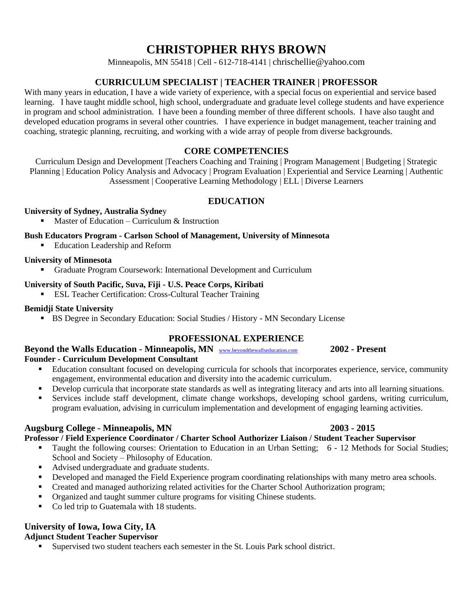# **CHRISTOPHER RHYS BROWN**

Minneapolis, MN 55418 | Cell - 612-718-4141 | chrischellie@yahoo.com

# **CURRICULUM SPECIALIST | TEACHER TRAINER | PROFESSOR**

With many years in education, I have a wide variety of experience, with a special focus on experiential and service based learning. I have taught middle school, high school, undergraduate and graduate level college students and have experience in program and school administration. I have been a founding member of three different schools. I have also taught and developed education programs in several other countries. I have experience in budget management, teacher training and coaching, strategic planning, recruiting, and working with a wide array of people from diverse backgrounds.

# **CORE COMPETENCIES**

Curriculum Design and Development |Teachers Coaching and Training | Program Management | Budgeting | Strategic Planning | Education Policy Analysis and Advocacy | Program Evaluation | Experiential and Service Learning | Authentic Assessment | Cooperative Learning Methodology | ELL | Diverse Learners

## **EDUCATION**

#### **University of Sydney, Australia Sydne**y

Master of Education – Curriculum  $\&$  Instruction

#### **Bush Educators Program - Carlson School of Management, University of Minnesota**

■ Education Leadership and Reform

#### **University of Minnesota**

▪ Graduate Program Coursework: International Development and Curriculum

#### **University of South Pacific, Suva, Fiji - U.S. Peace Corps, Kiribati**

**ESL Teacher Certification: Cross-Cultural Teacher Training** 

#### **Bemidji State University**

▪ BS Degree in Secondary Education: Social Studies / History - MN Secondary License

#### **PROFESSIONAL EXPERIENCE**

#### **Beyond the Walls Education - Minneapolis, MN** [www.beyondthewallseducation.com](http://www.beyondthewallseducation.com/) **2002 - Present Founder - Curriculum Development Consultant**

- Education consultant focused on developing curricula for schools that incorporates experience, service, community engagement, environmental education and diversity into the academic curriculum.
- Develop curricula that incorporate state standards as well as integrating literacy and arts into all learning situations.
- Services include staff development, climate change workshops, developing school gardens, writing curriculum, program evaluation, advising in curriculum implementation and development of engaging learning activities.

#### **Augsburg College - Minneapolis, MN 2003 - 2015**

# **Professor / Field Experience Coordinator / Charter School Authorizer Liaison / Student Teacher Supervisor**

- Taught the following courses: Orientation to Education in an Urban Setting; 6 12 Methods for Social Studies; School and Society – Philosophy of Education.
- Advised undergraduate and graduate students.
- **•** Developed and managed the Field Experience program coordinating relationships with many metro area schools.
- **•** Created and managed authorizing related activities for the Charter School Authorization program;
- Organized and taught summer culture programs for visiting Chinese students.
- Co led trip to Guatemala with 18 students.

# **University of Iowa, Iowa City, IA**

#### **Adjunct Student Teacher Supervisor**

▪ Supervised two student teachers each semester in the St. Louis Park school district.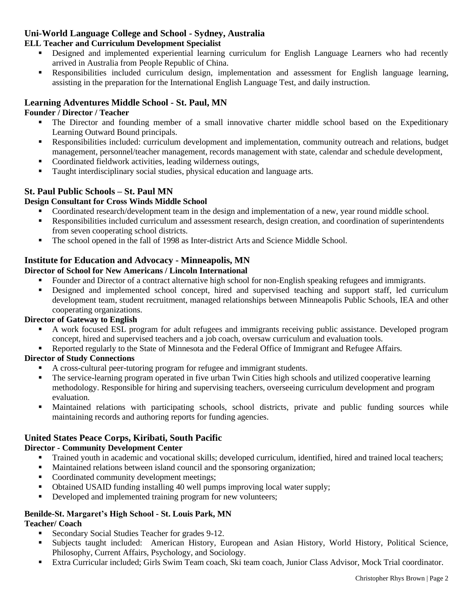# **Uni-World Language College and School - Sydney, Australia**

#### **ELL Teacher and Curriculum Development Specialist**

- Designed and implemented experiential learning curriculum for English Language Learners who had recently arrived in Australia from People Republic of China.
- Responsibilities included curriculum design, implementation and assessment for English language learning, assisting in the preparation for the International English Language Test, and daily instruction.

# **Learning Adventures Middle School - St. Paul, MN**

#### **Founder / Director / Teacher**

- The Director and founding member of a small innovative charter middle school based on the Expeditionary Learning Outward Bound principals.
- Responsibilities included: curriculum development and implementation, community outreach and relations, budget management, personnel/teacher management, records management with state, calendar and schedule development,
- Coordinated fieldwork activities, leading wilderness outings,
- Taught interdisciplinary social studies, physical education and language arts.

# **St. Paul Public Schools – St. Paul MN**

#### **Design Consultant for Cross Winds Middle School**

- Coordinated research/development team in the design and implementation of a new, year round middle school.
- Responsibilities included curriculum and assessment research, design creation, and coordination of superintendents from seven cooperating school districts.
- The school opened in the fall of 1998 as Inter-district Arts and Science Middle School.

## **Institute for Education and Advocacy - Minneapolis, MN**

#### **Director of School for New Americans / Lincoln International**

- Founder and Director of a contract alternative high school for non-English speaking refugees and immigrants.
- Designed and implemented school concept, hired and supervised teaching and support staff, led curriculum development team, student recruitment, managed relationships between Minneapolis Public Schools, IEA and other cooperating organizations.

#### **Director of Gateway to English**

- A work focused ESL program for adult refugees and immigrants receiving public assistance. Developed program concept, hired and supervised teachers and a job coach, oversaw curriculum and evaluation tools.
- Reported regularly to the State of Minnesota and the Federal Office of Immigrant and Refugee Affairs.

#### **Director of Study Connections**

- A cross-cultural peer-tutoring program for refugee and immigrant students.
- The service-learning program operated in five urban Twin Cities high schools and utilized cooperative learning methodology. Responsible for hiring and supervising teachers, overseeing curriculum development and program evaluation.
- Maintained relations with participating schools, school districts, private and public funding sources while maintaining records and authoring reports for funding agencies.

# **United States Peace Corps, Kiribati, South Pacific**

#### **Director - Community Development Center**

- Trained youth in academic and vocational skills; developed curriculum, identified, hired and trained local teachers;
- Maintained relations between island council and the sponsoring organization;
- Coordinated community development meetings;
- Obtained USAID funding installing 40 well pumps improving local water supply;
- **•** Developed and implemented training program for new volunteers;

#### **Benilde-St. Margaret's High School - St. Louis Park, MN**

#### **Teacher/ Coach**

- Secondary Social Studies Teacher for grades 9-12.
- Subjects taught included: American History, European and Asian History, World History, Political Science, Philosophy, Current Affairs, Psychology, and Sociology.
- Extra Curricular included; Girls Swim Team coach, Ski team coach, Junior Class Advisor, Mock Trial coordinator.